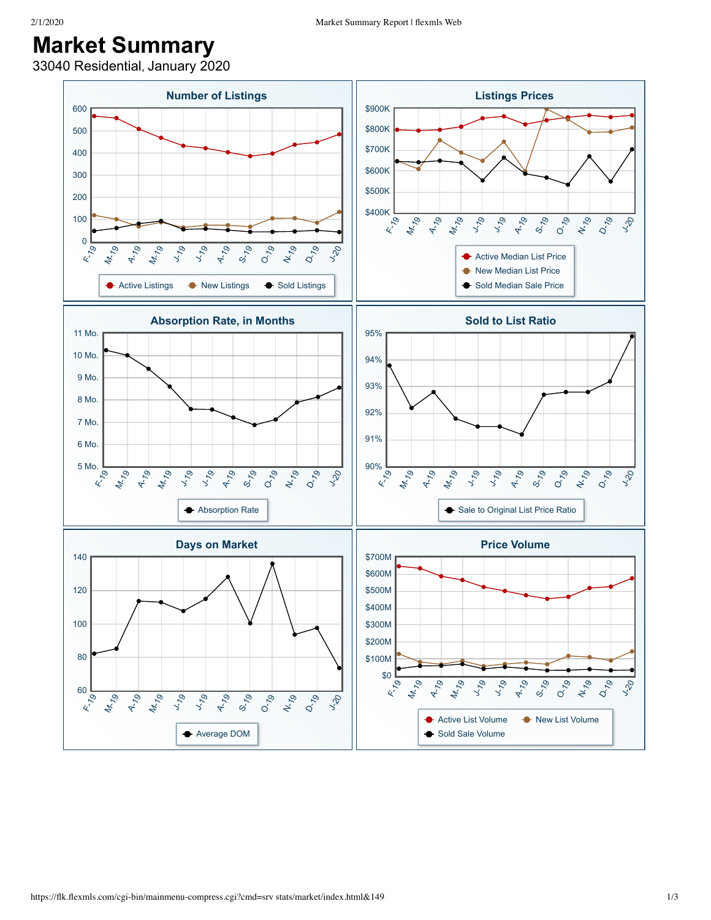## **Market Summary**

33040 Residential, January 2020

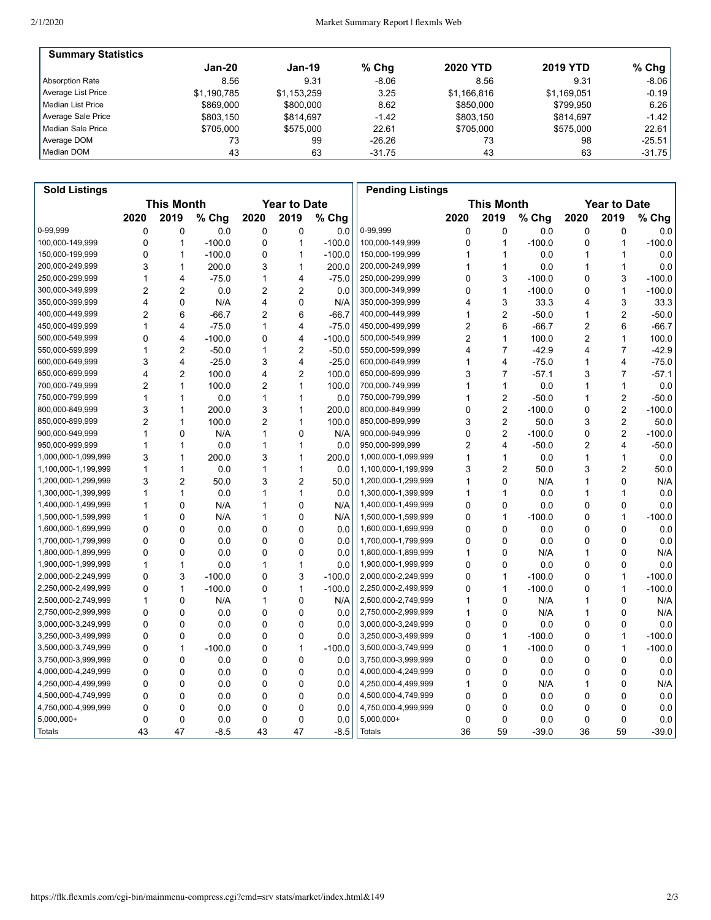| <b>Summary Statistics</b> |             |             |          |                 |                 |          |
|---------------------------|-------------|-------------|----------|-----------------|-----------------|----------|
|                           | Jan-20      | Jan-19      | $%$ Chg  | <b>2020 YTD</b> | <b>2019 YTD</b> | $%$ Chg  |
| Absorption Rate           | 8.56        | 9.31        | $-8.06$  | 8.56            | 9.31            | $-8.06$  |
| Average List Price        | \$1.190.785 | \$1,153,259 | 3.25     | \$1,166,816     | \$1,169,051     | $-0.19$  |
| Median List Price         | \$869,000   | \$800,000   | 8.62     | \$850,000       | \$799.950       | 6.26     |
| Average Sale Price        | \$803.150   | \$814.697   | $-1.42$  | \$803.150       | \$814.697       | $-1.42$  |
| Median Sale Price         | \$705,000   | \$575,000   | 22.61    | \$705.000       | \$575,000       | 22.61    |
| Average DOM               | 73          | 99          | $-26.26$ | 73              | 98              | $-25.51$ |
| Median DOM                | 43          | 63          | $-31.75$ | 43              | 63              | $-31.75$ |

| <b>Sold Listings</b> |                                          |                |          |                |                |          | <b>Pending Listings</b> |      |                |          |                     |                         |          |
|----------------------|------------------------------------------|----------------|----------|----------------|----------------|----------|-------------------------|------|----------------|----------|---------------------|-------------------------|----------|
|                      | <b>This Month</b><br><b>Year to Date</b> |                |          |                |                |          | <b>This Month</b>       |      |                |          | <b>Year to Date</b> |                         |          |
|                      | 2020                                     | 2019           | % Chg    | 2020           | 2019           | % Chg    |                         | 2020 | 2019           | % Chg    | 2020                | 2019                    | % Chg    |
| 0-99,999             | 0                                        | 0              | 0.0      | 0              | 0              | 0.0      | 0-99,999                | 0    | 0              | 0.0      | 0                   | 0                       | 0.0      |
| 100,000-149,999      | 0                                        | 1              | $-100.0$ | 0              | 1              | $-100.0$ | 100,000-149,999         | 0    | 1              | $-100.0$ | 0                   | 1                       | $-100.0$ |
| 150,000-199,999      | 0                                        | 1              | $-100.0$ | 0              | $\mathbf{1}$   | $-100.0$ | 150,000-199,999         | 1    | 1              | 0.0      | 1                   | $\mathbf{1}$            | 0.0      |
| 200,000-249,999      | 3                                        | 1              | 200.0    | 3              | 1              | 200.0    | 200,000-249,999         |      | 1              | 0.0      | 1                   | $\mathbf{1}$            | 0.0      |
| 250,000-299,999      | 1                                        | 4              | $-75.0$  | 1              | 4              | $-75.0$  | 250,000-299,999         | 0    | 3              | $-100.0$ | 0                   | 3                       | $-100.0$ |
| 300,000-349,999      | 2                                        | 2              | 0.0      | 2              | $\overline{c}$ | 0.0      | 300,000-349,999         | 0    | 1              | $-100.0$ | 0                   | 1                       | $-100.0$ |
| 350,000-399,999      | 4                                        | 0              | N/A      | 4              | 0              | N/A      | 350,000-399,999         | 4    | 3              | 33.3     | 4                   | 3                       | 33.3     |
| 400,000-449,999      | $\overline{2}$                           | 6              | $-66.7$  | $\overline{2}$ | 6              | $-66.7$  | 400,000-449,999         | 1    | $\overline{2}$ | $-50.0$  | 1                   | $\overline{2}$          | $-50.0$  |
| 450,000-499,999      | 1                                        | 4              | $-75.0$  | 1              | 4              | $-75.0$  | 450,000-499,999         | 2    | 6              | $-66.7$  | 2                   | 6                       | $-66.7$  |
| 500,000-549,999      | 0                                        | 4              | $-100.0$ | 0              | 4              | $-100.0$ | 500,000-549,999         | 2    | 1              | 100.0    | 2                   | $\mathbf{1}$            | 100.0    |
| 550,000-599,999      | 1                                        | $\overline{c}$ | $-50.0$  | 1              | $\overline{c}$ | $-50.0$  | 550,000-599,999         | 4    | $\overline{7}$ | $-42.9$  | 4                   | $\overline{7}$          | $-42.9$  |
| 600,000-649,999      | 3                                        | 4              | $-25.0$  | 3              | 4              | $-25.0$  | 600,000-649,999         | 1    | 4              | $-75.0$  | 1                   | 4                       | $-75.0$  |
| 650,000-699,999      | 4                                        | $\overline{2}$ | 100.0    | 4              | $\overline{2}$ | 100.0    | 650,000-699,999         | 3    | $\overline{7}$ | $-57.1$  | 3                   | $\overline{7}$          | $-57.1$  |
| 700,000-749,999      | 2                                        | 1              | 100.0    | 2              | $\mathbf{1}$   | 100.0    | 700,000-749,999         | 1    | 1              | 0.0      | 1                   | $\mathbf{1}$            | 0.0      |
| 750,000-799,999      | 1                                        | 1              | 0.0      | 1              | 1              | 0.0      | 750,000-799,999         | 1    | 2              | $-50.0$  | 1                   | $\overline{2}$          | $-50.0$  |
| 800,000-849,999      | 3                                        | 1              | 200.0    | 3              | 1              | 200.0    | 800,000-849,999         | 0    | $\overline{2}$ | $-100.0$ | 0                   | $\overline{c}$          | $-100.0$ |
| 850,000-899,999      | $\overline{2}$                           | 1              | 100.0    | $\overline{2}$ | $\mathbf{1}$   | 100.0    | 850,000-899,999         | 3    | $\overline{2}$ | 50.0     | 3                   | $\overline{\mathbf{c}}$ | 50.0     |
| 900,000-949,999      | 1                                        | 0              | N/A      | 1              | 0              | N/A      | 900,000-949,999         | 0    | $\overline{2}$ | $-100.0$ | 0                   | $\overline{2}$          | $-100.0$ |
| 950,000-999,999      | 1                                        | 1              | 0.0      | 1              | $\mathbf{1}$   | 0.0      | 950,000-999,999         | 2    | 4              | $-50.0$  | 2                   | 4                       | $-50.0$  |
| 1,000,000-1,099,999  | 3                                        | 1              | 200.0    | 3              | $\mathbf{1}$   | 200.0    | 1,000,000-1,099,999     | 1    | 1              | 0.0      | 1                   | $\mathbf{1}$            | 0.0      |
| 1,100,000-1,199,999  | 1                                        | 1              | 0.0      | 1              | 1              | 0.0      | 1,100,000-1,199,999     | 3    | 2              | 50.0     | 3                   | $\overline{2}$          | 50.0     |
| 1,200,000-1,299,999  | 3                                        | $\overline{2}$ | 50.0     | 3              | $\overline{2}$ | 50.0     | 1,200,000-1,299,999     | 1    | 0              | N/A      | 1                   | 0                       | N/A      |
| 1,300,000-1,399,999  | 1                                        | 1              | 0.0      | 1              | $\mathbf{1}$   | 0.0      | 1,300,000-1,399,999     | 1    | 1              | 0.0      | 1                   | $\mathbf{1}$            | 0.0      |
| 1,400,000-1,499,999  | 1                                        | 0              | N/A      | 1              | 0              | N/A      | 1,400,000-1,499,999     | 0    | 0              | 0.0      | 0                   | 0                       | 0.0      |
| 1,500,000-1,599,999  | 1                                        | 0              | N/A      | 1              | 0              | N/A      | 1,500,000-1,599,999     | 0    | $\mathbf 1$    | $-100.0$ | 0                   | $\mathbf{1}$            | $-100.0$ |
| 1,600,000-1,699,999  | $\Omega$                                 | 0              | 0.0      | 0              | 0              | 0.0      | 1,600,000-1,699,999     | 0    | 0              | 0.0      | 0                   | 0                       | 0.0      |
| 1,700,000-1,799,999  | 0                                        | 0              | 0.0      | 0              | 0              | 0.0      | 1,700,000-1,799,999     | 0    | 0              | 0.0      | 0                   | 0                       | 0.0      |
| 1,800,000-1,899,999  | 0                                        | 0              | 0.0      | 0              | 0              | 0.0      | 1,800,000-1,899,999     | 1    | 0              | N/A      | 1                   | 0                       | N/A      |
| 1,900,000-1,999,999  | 1                                        | 1              | 0.0      | 1              | $\mathbf{1}$   | 0.0      | 1,900,000-1,999,999     | 0    | 0              | 0.0      | 0                   | 0                       | 0.0      |
| 2,000,000-2,249,999  | 0                                        | 3              | $-100.0$ | 0              | 3              | $-100.0$ | 2,000,000-2,249,999     | 0    | 1              | $-100.0$ | 0                   | $\mathbf{1}$            | $-100.0$ |
| 2,250,000-2,499,999  | 0                                        | 1              | $-100.0$ | 0              | $\mathbf{1}$   | $-100.0$ | 2,250,000-2,499,999     | 0    | 1              | $-100.0$ | 0                   | $\mathbf{1}$            | $-100.0$ |
| 2,500,000-2,749,999  | 1                                        | 0              | N/A      | $\mathbf{1}$   | 0              | N/A      | 2,500,000-2,749,999     | 1    | 0              | N/A      | 1                   | 0                       | N/A      |
| 2,750,000-2,999,999  | 0                                        | 0              | 0.0      | 0              | 0              | 0.0      | 2,750,000-2,999,999     | 1    | 0              | N/A      | 1                   | 0                       | N/A      |
| 3,000,000-3,249,999  | 0                                        | 0              | 0.0      | 0              | 0              | 0.0      | 3,000,000-3,249,999     | 0    | 0              | 0.0      | 0                   | 0                       | 0.0      |
| 3,250,000-3,499,999  | 0                                        | 0              | 0.0      | 0              | 0              | 0.0      | 3,250,000-3,499,999     | 0    | 1              | $-100.0$ | 0                   | $\mathbf{1}$            | $-100.0$ |
| 3,500,000-3,749,999  | $\Omega$                                 | 1              | $-100.0$ | 0              | $\mathbf{1}$   | $-100.0$ | 3,500,000-3,749,999     | 0    | 1              | $-100.0$ | 0                   | $\mathbf{1}$            | $-100.0$ |
| 3,750,000-3,999,999  | 0                                        | 0              | 0.0      | 0              | 0              | 0.0      | 3,750,000-3,999,999     | 0    | 0              | 0.0      | 0                   | 0                       | 0.0      |
| 4,000,000-4,249,999  | 0                                        | $\mathbf{0}$   | 0.0      | 0              | 0              | 0.0      | 4,000,000-4,249,999     | 0    | 0              | 0.0      | 0                   | 0                       | 0.0      |
| 4,250,000-4,499,999  | 0                                        | 0              | 0.0      | 0              | 0              | 0.0      | 4,250,000-4,499,999     | 1    | 0              | N/A      | 1                   | 0                       | N/A      |
| 4,500,000-4,749,999  | 0                                        | 0              | 0.0      | 0              | 0              | 0.0      | 4,500,000-4,749,999     | 0    | 0              | 0.0      | 0                   | 0                       | 0.0      |
| 4,750,000-4,999,999  | 0                                        | 0              | 0.0      | 0              | 0              | 0.0      | 4,750,000-4,999,999     | 0    | 0              | 0.0      | 0                   | 0                       | 0.0      |
| 5,000,000+           | 0                                        | 0              | 0.0      | 0              | 0              | 0.0      | $5,000,000+$            | 0    | $\mathbf 0$    | 0.0      | 0                   | 0                       | 0.0      |
| Totals               | 43                                       | 47             | $-8.5$   | 43             | 47             | $-8.5$   | Totals                  | 36   | 59             | $-39.0$  | 36                  | 59                      | $-39.0$  |
|                      |                                          |                |          |                |                |          |                         |      |                |          |                     |                         |          |